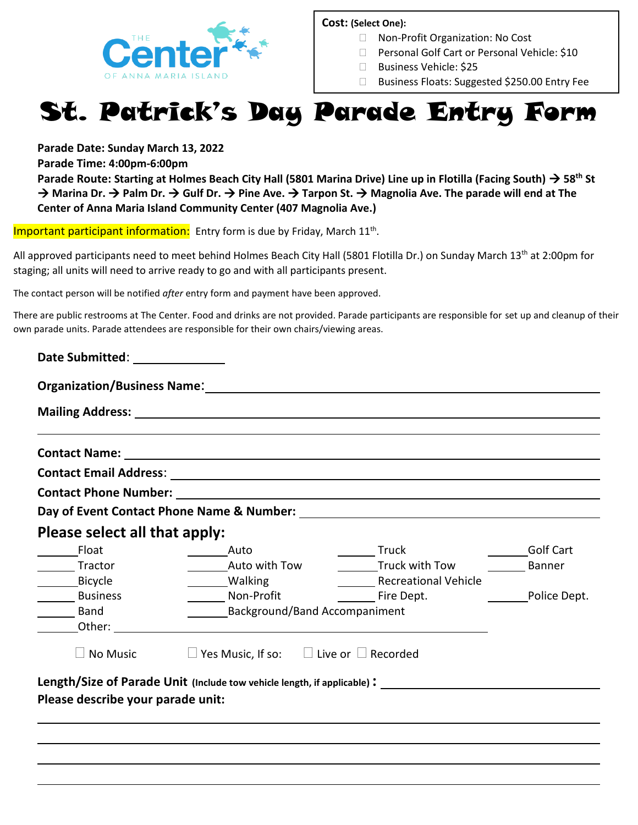

#### **Cost: (Select One):**

- □ Non-Profit Organization: No Cost
- □ Personal Golf Cart or Personal Vehicle: \$10
- □ Business Vehicle: \$25
- □ Business Floats: Suggested \$250.00 Entry Fee

# St. Patrick's Day Parade Entry Form

**Parade Date: Sunday March 13, 2022**

**Parade Time: 4:00pm-6:00pm**

**Parade Route: Starting at Holmes Beach City Hall (5801 Marina Drive) Line up in Flotilla (Facing South) → 58<sup>th</sup> St** → Marina Dr. → Palm Dr. → Gulf Dr. → Pine Ave. → Tarpon St. → Magnolia Ave. The parade will end at The **Center of Anna Maria Island Community Center (407 Magnolia Ave.)**

Important participant information: Entry form is due by Friday, March 11<sup>th</sup>.

All approved participants need to meet behind Holmes Beach City Hall (5801 Flotilla Dr.) on Sunday March 13<sup>th</sup> at 2:00pm for staging; all units will need to arrive ready to go and with all participants present.

The contact person will be notified *after* entry form and payment have been approved.

There are public restrooms at The Center. Food and drinks are not provided. Parade participants are responsible for set up and cleanup of their own parade units. Parade attendees are responsible for their own chairs/viewing areas.

| Please select all that apply:     |                                                                                                      |                             |                  |
|-----------------------------------|------------------------------------------------------------------------------------------------------|-----------------------------|------------------|
| <b>Float</b>                      | Auto –                                                                                               | ______ Truck                | <b>Golf Cart</b> |
| ______ Tractor                    | Auto with Tow                                                                                        | <b>Truck with Tow</b>       | <b>Banner</b>    |
| Bicycle                           | Walking                                                                                              | <b>Recreational Vehicle</b> |                  |
| Business                          | Non-Profit                                                                                           | Fire Dept.                  | Police Dept.     |
| Band                              | <b>Background/Band Accompaniment</b>                                                                 |                             |                  |
| Other:                            |                                                                                                      |                             |                  |
| $\Box$ No Music                   | $\Box$ Yes Music, If so: $\Box$ Live or $\Box$ Recorded                                              |                             |                  |
|                                   |                                                                                                      |                             |                  |
| Please describe your parade unit: | Length/Size of Parade Unit (Include tow vehicle length, if applicable): ____________________________ |                             |                  |